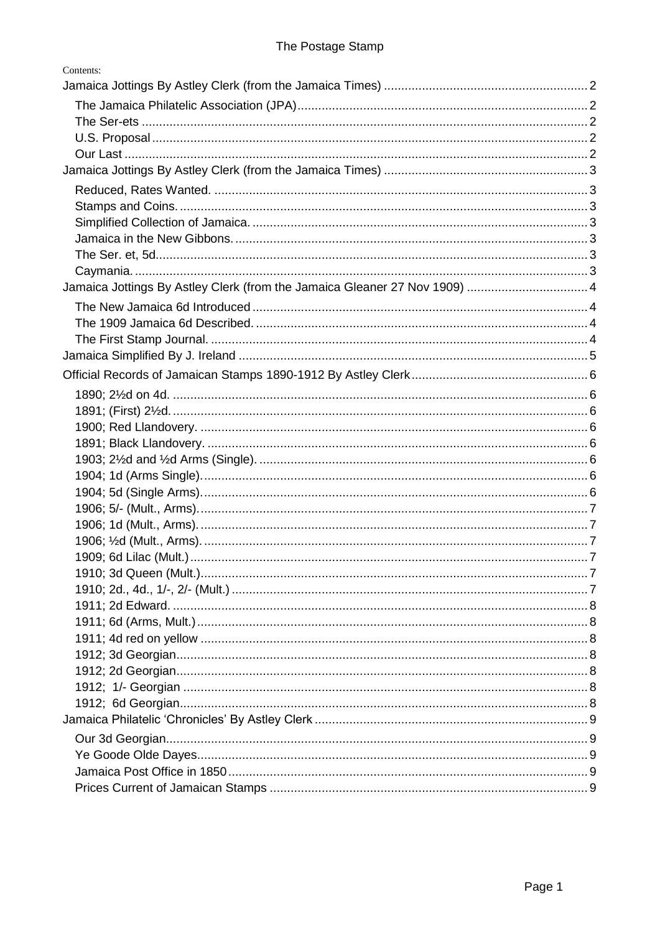| Contents:                                                                  |  |
|----------------------------------------------------------------------------|--|
|                                                                            |  |
|                                                                            |  |
|                                                                            |  |
|                                                                            |  |
|                                                                            |  |
|                                                                            |  |
|                                                                            |  |
|                                                                            |  |
|                                                                            |  |
|                                                                            |  |
|                                                                            |  |
|                                                                            |  |
| Jamaica Jottings By Astley Clerk (from the Jamaica Gleaner 27 Nov 1909)  4 |  |
|                                                                            |  |
|                                                                            |  |
|                                                                            |  |
|                                                                            |  |
|                                                                            |  |
|                                                                            |  |
|                                                                            |  |
|                                                                            |  |
|                                                                            |  |
|                                                                            |  |
|                                                                            |  |
|                                                                            |  |
|                                                                            |  |
|                                                                            |  |
|                                                                            |  |
|                                                                            |  |
|                                                                            |  |
|                                                                            |  |
|                                                                            |  |
|                                                                            |  |
|                                                                            |  |
|                                                                            |  |
|                                                                            |  |
|                                                                            |  |
|                                                                            |  |
|                                                                            |  |
|                                                                            |  |
|                                                                            |  |
|                                                                            |  |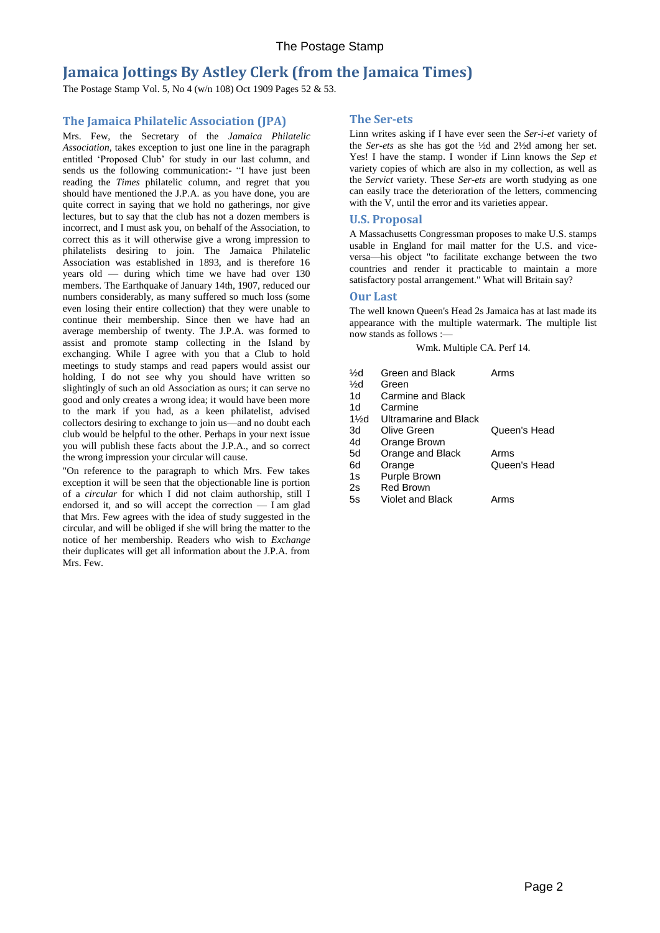# <span id="page-1-0"></span>**Jamaica Jottings By Astley Clerk (from the Jamaica Times)**

The Postage Stamp Vol. 5, No 4 (w/n 108) Oct 1909 Pages 52 & 53.

# <span id="page-1-1"></span>**The Jamaica Philatelic Association (JPA)**

Mrs. Few, the Secretary of the *Jamaica Philatelic Association,* takes exception to just one line in the paragraph entitled 'Proposed Club' for study in our last column, and sends us the following communication:- "I have just been reading the *Times* philatelic column, and regret that you should have mentioned the J.P.A. as you have done, you are quite correct in saying that we hold no gatherings, nor give lectures, but to say that the club has not a dozen members is incorrect, and I must ask you, on behalf of the Association, to correct this as it will otherwise give a wrong impression to philatelists desiring to join. The Jamaica Philatelic Association was established in 1893, and is therefore 16 years old — during which time we have had over 130 members. The Earthquake of January 14th, 1907, reduced our numbers considerably, as many suffered so much loss (some even losing their entire collection) that they were unable to continue their membership. Since then we have had an average membership of twenty. The J.P.A. was formed to assist and promote stamp collecting in the Island by exchanging. While I agree with you that a Club to hold meetings to study stamps and read papers would assist our holding, I do not see why you should have written so slightingly of such an old Association as ours; it can serve no good and only creates a wrong idea; it would have been more to the mark if you had, as a keen philatelist, advised collectors desiring to exchange to join us—and no doubt each club would be helpful to the other. Perhaps in your next issue you will publish these facts about the J.P.A., and so correct the wrong impression your circular will cause.

"On reference to the paragraph to which Mrs. Few takes exception it will be seen that the objectionable line is portion of a *circular* for which I did not claim authorship, still I endorsed it, and so will accept the correction — I am glad that Mrs. Few agrees with the idea of study suggested in the circular, and will be obliged if she will bring the matter to the notice of her membership. Readers who wish to *Exchange*  their duplicates will get all information about the J.P.A. from Mrs. Few.

## <span id="page-1-2"></span>**The Ser-ets**

Linn writes asking if I have ever seen the *Ser-i-et* variety of the *Ser-ets* as she has got the ½d and 2½d among her set. Yes! I have the stamp. I wonder if Linn knows the *Sep et*  variety copies of which are also in my collection, as well as the *Servict* variety. These *Ser-ets* are worth studying as one can easily trace the deterioration of the letters, commencing with the V, until the error and its varieties appear.

## <span id="page-1-3"></span>**U.S. Proposal**

A Massachusetts Congressman proposes to make U.S. stamps usable in England for mail matter for the U.S. and viceversa—his object "to facilitate exchange between the two countries and render it practicable to maintain a more satisfactory postal arrangement." What will Britain say?

## <span id="page-1-4"></span>**Our Last**

The well known Queen's Head 2s Jamaica has at last made its appearance with the multiple watermark. The multiple list now stands as follows :—

Wmk. Multiple CA. Perf 14.

- ½d Green and Black Arms ½d Green 1d Carmine and Black 1d Carmine
- 1½d Ultramarine and Black
- 3d Olive Green Queen's Head 4d Orange Brown 5d Orange and Black Arms
- 6d Orange Queen's Head
- 1s Purple Brown
- 2s Red Brown
- 5s Violet and Black Arms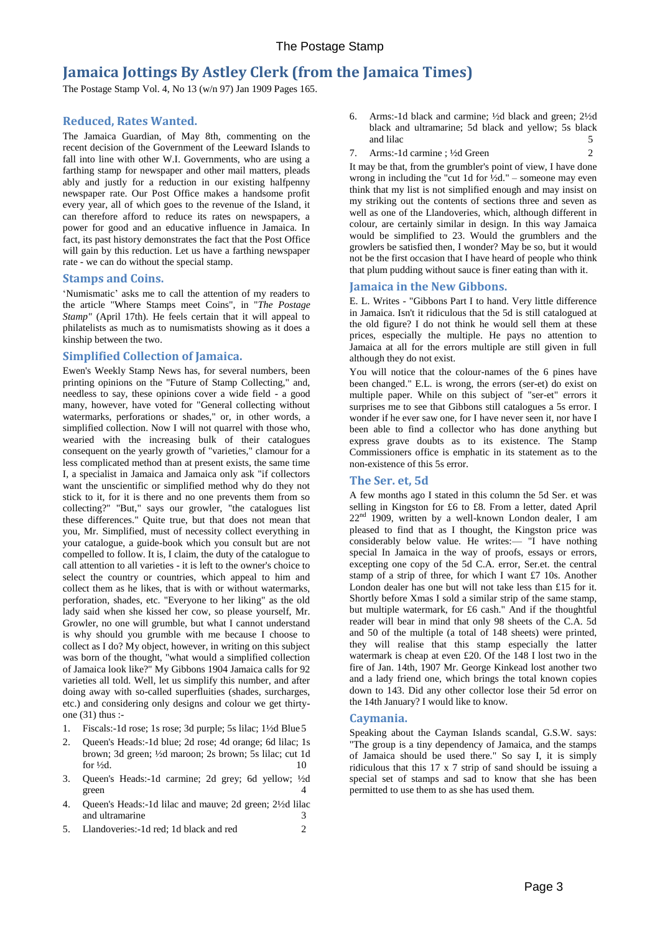# <span id="page-2-0"></span>**Jamaica Jottings By Astley Clerk (from the Jamaica Times)**

The Postage Stamp Vol. 4, No 13 (w/n 97) Jan 1909 Pages 165.

# <span id="page-2-1"></span>**Reduced, Rates Wanted.**

The Jamaica Guardian, of May 8th, commenting on the recent decision of the Government of the Leeward Islands to fall into line with other W.I. Governments, who are using a farthing stamp for newspaper and other mail matters, pleads ably and justly for a reduction in our existing halfpenny newspaper rate. Our Post Office makes a handsome profit every year, all of which goes to the revenue of the Island, it can therefore afford to reduce its rates on newspapers, a power for good and an educative influence in Jamaica. In fact, its past history demonstrates the fact that the Post Office will gain by this reduction. Let us have a farthing newspaper rate - we can do without the special stamp.

### <span id="page-2-2"></span>**Stamps and Coins.**

'Numismatic' asks me to call the attention of my readers to the article "Where Stamps meet Coins", in "*The Postage Stamp"* (April 17th). He feels certain that it will appeal to philatelists as much as to numismatists showing as it does a kinship between the two.

## <span id="page-2-3"></span>**Simplified Collection of Jamaica.**

Ewen's Weekly Stamp News has, for several numbers, been printing opinions on the "Future of Stamp Collecting," and, needless to say, these opinions cover a wide field - a good many, however, have voted for "General collecting without watermarks, perforations or shades," or, in other words, a simplified collection. Now I will not quarrel with those who, wearied with the increasing bulk of their catalogues consequent on the yearly growth of "varieties," clamour for a less complicated method than at present exists, the same time I, a specialist in Jamaica and Jamaica only ask "if collectors want the unscientific or simplified method why do they not stick to it, for it is there and no one prevents them from so collecting?" "But," says our growler, "the catalogues list these differences." Quite true, but that does not mean that you, Mr. Simplified, must of necessity collect everything in your catalogue, a guide-book which you consult but are not compelled to follow. It is, I claim, the duty of the catalogue to call attention to all varieties - it is left to the owner's choice to select the country or countries, which appeal to him and collect them as he likes, that is with or without watermarks, perforation, shades, etc. "Everyone to her liking" as the old lady said when she kissed her cow, so please yourself, Mr. Growler, no one will grumble, but what I cannot understand is why should you grumble with me because I choose to collect as I do? My object, however, in writing on this subject was born of the thought, "what would a simplified collection of Jamaica look like?" My Gibbons 1904 Jamaica calls for 92 varieties all told. Well, let us simplify this number, and after doing away with so-called superfluities (shades, surcharges, etc.) and considering only designs and colour we get thirtyone (31) thus :-

- 1. Fiscals:-1d rose; 1s rose; 3d purple; 5s lilac; 1½d Blue 5
- 2. Queen's Heads:-1d blue; 2d rose; 4d orange; 6d lilac; 1s brown; 3d green; ½d maroon; 2s brown; 5s lilac; cut 1d for  $\frac{1}{2}d$ . 10
- 3. Queen's Heads:-1d carmine; 2d grey; 6d yellow; ½d green 4
- 4. Queen's Heads:-1d lilac and mauve; 2d green; 2½d lilac and ultramarine 3
- 5. Llandoveries:-1d red; 1d black and red 2
- 6. Arms:-1d black and carmine; ½d black and green; 2½d black and ultramarine; 5d black and yellow; 5s black and lilac 5
- 7. Arms:-1d carmine ; <sup>1</sup>/<sub>2</sub>d Green 2

It may be that, from the grumbler's point of view, I have done wrong in including the "cut 1d for  $\frac{1}{2}d$ ." – someone may even think that my list is not simplified enough and may insist on my striking out the contents of sections three and seven as well as one of the Llandoveries, which, although different in colour, are certainly similar in design. In this way Jamaica would be simplified to 23. Would the grumblers and the growlers be satisfied then, I wonder? May be so, but it would not be the first occasion that I have heard of people who think that plum pudding without sauce is finer eating than with it.

### <span id="page-2-4"></span>**Jamaica in the New Gibbons.**

E. L. Writes - "Gibbons Part I to hand. Very little difference in Jamaica. Isn't it ridiculous that the 5d is still catalogued at the old figure? I do not think he would sell them at these prices, especially the multiple. He pays no attention to Jamaica at all for the errors multiple are still given in full although they do not exist.

You will notice that the colour-names of the 6 pines have been changed." E.L. is wrong, the errors (ser-et) do exist on multiple paper. While on this subject of "ser-et" errors it surprises me to see that Gibbons still catalogues a 5s error. I wonder if he ever saw one, for I have never seen it, nor have I been able to find a collector who has done anything but express grave doubts as to its existence. The Stamp Commissioners office is emphatic in its statement as to the non-existence of this 5s error.

#### <span id="page-2-5"></span>**The Ser. et, 5d**

A few months ago I stated in this column the 5d Ser. et was selling in Kingston for £6 to £8. From a letter, dated April 22<sup>nd</sup> 1909, written by a well-known London dealer, I am pleased to find that as I thought, the Kingston price was considerably below value. He writes:— "I have nothing special In Jamaica in the way of proofs, essays or errors, excepting one copy of the 5d C.A. error, Ser.et. the central stamp of a strip of three, for which I want £7 10s. Another London dealer has one but will not take less than £15 for it. Shortly before Xmas I sold a similar strip of the same stamp, but multiple watermark, for £6 cash." And if the thoughtful reader will bear in mind that only 98 sheets of the C.A. 5d and 50 of the multiple (a total of 148 sheets) were printed, they will realise that this stamp especially the latter watermark is cheap at even £20. Of the 148 I lost two in the fire of Jan. 14th, 1907 Mr. George Kinkead lost another two and a lady friend one, which brings the total known copies down to 143. Did any other collector lose their 5d error on the 14th January? I would like to know.

#### <span id="page-2-6"></span>**Caymania.**

Speaking about the Cayman Islands scandal, G.S.W. says: "The group is a tiny dependency of Jamaica, and the stamps of Jamaica should be used there." So say I, it is simply ridiculous that this 17 x 7 strip of sand should be issuing a special set of stamps and sad to know that she has been permitted to use them to as she has used them.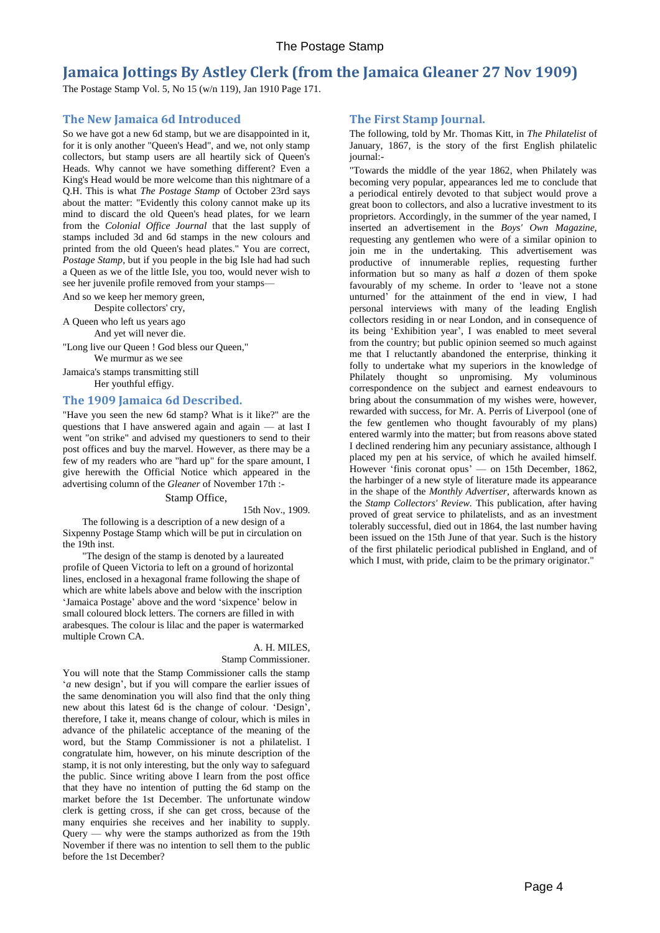# <span id="page-3-0"></span>**Jamaica Jottings By Astley Clerk (from the Jamaica Gleaner 27 Nov 1909)**

The Postage Stamp Vol. 5, No 15 (w/n 119), Jan 1910 Page 171.

# <span id="page-3-1"></span>**The New Jamaica 6d Introduced**

So we have got a new 6d stamp, but we are disappointed in it, for it is only another "Queen's Head", and we, not only stamp collectors, but stamp users are all heartily sick of Queen's Heads. Why cannot we have something different? Even a King's Head would be more welcome than this nightmare of a Q.H. This is what *The Postage Stamp* of October 23rd says about the matter: "Evidently this colony cannot make up its mind to discard the old Queen's head plates, for we learn from the *Colonial Office Journal* that the last supply of stamps included 3d and 6d stamps in the new colours and printed from the old Queen's head plates." You are correct, *Postage Stamp,* but if you people in the big Isle had had such a Queen as we of the little Isle, you too, would never wish to see her juvenile profile removed from your stamps—

And so we keep her memory green,

Despite collectors' cry,

A Queen who left us years ago And yet will never die.

"Long live our Queen ! God bless our Queen," We murmur as we see

Jamaica's stamps transmitting still

Her youthful effigy.

### <span id="page-3-2"></span>**The 1909 Jamaica 6d Described.**

"Have you seen the new 6d stamp? What is it like?" are the questions that I have answered again and again — at last I went "on strike" and advised my questioners to send to their post offices and buy the marvel. However, as there may be a few of my readers who are "hard up" for the spare amount, I give herewith the Official Notice which appeared in the advertising column of the *Gleaner* of November 17th :-

#### Stamp Office,

15th Nov., 1909.

The following is a description of a new design of a Sixpenny Postage Stamp which will be put in circulation on the 19th inst.

"The design of the stamp is denoted by a laureated profile of Queen Victoria to left on a ground of horizontal lines, enclosed in a hexagonal frame following the shape of which are white labels above and below with the inscription 'Jamaica Postage' above and the word 'sixpence' below in small coloured block letters. The corners are filled in with arabesques. The colour is lilac and the paper is watermarked multiple Crown CA.

# A. H. MILES,

### Stamp Commissioner.

You will note that the Stamp Commissioner calls the stamp '*a* new design', but if you will compare the earlier issues of the same denomination you will also find that the only thing new about this latest 6d is the change of colour. 'Design', therefore, I take it, means change of colour, which is miles in advance of the philatelic acceptance of the meaning of the word, but the Stamp Commissioner is not a philatelist. I congratulate him, however, on his minute description of the stamp, it is not only interesting, but the only way to safeguard the public. Since writing above I learn from the post office that they have no intention of putting the 6d stamp on the market before the 1st December. The unfortunate window clerk is getting cross, if she can get cross, because of the many enquiries she receives and her inability to supply.  $Query$  — why were the stamps authorized as from the 19th November if there was no intention to sell them to the public before the 1st December?

## <span id="page-3-3"></span>**The First Stamp Journal.**

The following, told by Mr. Thomas Kitt, in *The Philatelist* of January, 1867, is the story of the first English philatelic journal:-

"Towards the middle of the year 1862, when Philately was becoming very popular, appearances led me to conclude that a periodical entirely devoted to that subject would prove a great boon to collectors, and also a lucrative investment to its proprietors. Accordingly, in the summer of the year named, I inserted an advertisement in the *Boys' Own Magazine,*  requesting any gentlemen who were of a similar opinion to join me in the undertaking. This advertisement was productive of innumerable replies, requesting further information but so many as half *a* dozen of them spoke favourably of my scheme. In order to 'leave not a stone unturned' for the attainment of the end in view, I had personal interviews with many of the leading English collectors residing in or near London, and in consequence of its being 'Exhibition year', I was enabled to meet several from the country; but public opinion seemed so much against me that I reluctantly abandoned the enterprise, thinking it folly to undertake what my superiors in the knowledge of Philately thought so unpromising. My voluminous correspondence on the subject and earnest endeavours to bring about the consummation of my wishes were, however, rewarded with success, for Mr. A. Perris of Liverpool (one of the few gentlemen who thought favourably of my plans) entered warmly into the matter; but from reasons above stated I declined rendering him any pecuniary assistance, although I placed my pen at his service, of which he availed himself. However 'finis coronat opus' — on 15th December, 1862, the harbinger of a new style of literature made its appearance in the shape of the *Monthly Advertiser,* afterwards known as the *Stamp Collectors' Review.* This publication, after having proved of great service to philatelists, and as an investment tolerably successful, died out in 1864, the last number having been issued on the 15th June of that year. Such is the history of the first philatelic periodical published in England, and of which I must, with pride, claim to be the primary originator."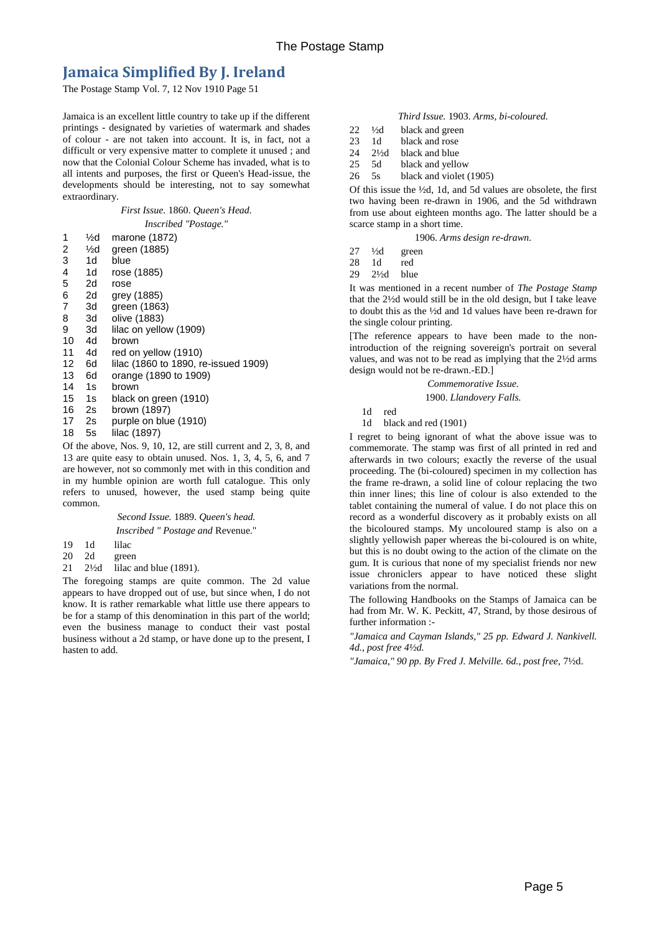# <span id="page-4-0"></span>**Jamaica Simplified By J. Ireland**

The Postage Stamp Vol. 7, 12 Nov 1910 Page 51

Jamaica is an excellent little country to take up if the different printings - designated by varieties of watermark and shades of colour - are not taken into account. It is, in fact, not a difficult or very expensive matter to complete it unused ; and now that the Colonial Colour Scheme has invaded, what is to all intents and purposes, the first or Queen's Head-issue, the developments should be interesting, not to say somewhat extraordinary.

# *First Issue.* 1860. *Queen's Head.*

| 1  | ½d | marone (1872)                        |
|----|----|--------------------------------------|
| 2  | ½d | green (1885)                         |
| 3  | 1d | blue                                 |
| 4  | 1d | rose (1885)                          |
| 5  | 2d | rose                                 |
| 6  | 2d | grey (1885)                          |
| 7  | 3d | green (1863)                         |
| 8  | 3d | olive (1883)                         |
| 9  | 3d | lilac on yellow (1909)               |
| 10 | 4d | brown                                |
| 11 | 4d | red on yellow (1910)                 |
| 12 | 6d | lilac (1860 to 1890, re-issued 1909) |
| 13 | 6d | orange (1890 to 1909)                |
| 14 | 1s | brown                                |
| 15 | 1s | black on green (1910)                |
| 16 | 2s | brown (1897)                         |
| 17 | 2s | purple on blue (1910)                |
| 18 | 5s | lilac (1897)                         |
|    |    |                                      |

Of the above, Nos. 9, 10, 12, are still current and 2, 3, 8, and 13 are quite easy to obtain unused. Nos. 1, 3, 4, 5, 6, and 7 are however, not so commonly met with in this condition and in my humble opinion are worth full catalogue. This only refers to unused, however, the used stamp being quite common.

> *Second Issue.* 1889. *Queen's head. Inscribed " Postage and* Revenue."

- 19 1d lilac
- 20 2d green
- 21 2½d lilac and blue (1891).

The foregoing stamps are quite common. The 2d value appears to have dropped out of use, but since when, I do not know. It is rather remarkable what little use there appears to be for a stamp of this denomination in this part of the world; even the business manage to conduct their vast postal business without a 2d stamp, or have done up to the present, I hasten to add.

#### *Third Issue.* 1903. *Arms, bi-coloured.*

- $22 \frac{1}{2}$  black and green<br>23 1d black and rose
- 1d black and rose
- 24 2½d black and blue
- 25 5d black and yellow
- 26 5s black and violet (1905)

Of this issue the ½d, 1d, and 5d values are obsolete, the first two having been re-drawn in 1906, and the 5d withdrawn from use about eighteen months ago. The latter should be a scarce stamp in a short time.

1906. *Arms design re-drawn.*

- $27 \frac{1}{2}d$  green
- 28 1d red
- 29 2½d blue

It was mentioned in a recent number of *The Postage Stamp*  that the 2½d would still be in the old design, but I take leave to doubt this as the ½d and 1d values have been re-drawn for the single colour printing.

[The reference appears to have been made to the nonintroduction of the reigning sovereign's portrait on several values, and was not to be read as implying that the 2½d arms design would not be re-drawn.-ED.]

*Commemorative Issue.*

#### 1900. *Llandovery Falls.*

1d red

1d black and red (1901)

I regret to being ignorant of what the above issue was to commemorate. The stamp was first of all printed in red and afterwards in two colours; exactly the reverse of the usual proceeding. The (bi-coloured) specimen in my collection has the frame re-drawn, a solid line of colour replacing the two thin inner lines; this line of colour is also extended to the tablet containing the numeral of value. I do not place this on record as a wonderful discovery as it probably exists on all the bicoloured stamps. My uncoloured stamp is also on a slightly yellowish paper whereas the bi-coloured is on white, but this is no doubt owing to the action of the climate on the gum. It is curious that none of my specialist friends nor new issue chroniclers appear to have noticed these slight variations from the normal.

The following Handbooks on the Stamps of Jamaica can be had from Mr. W. K. Peckitt, 47, Strand, by those desirous of further information :-

*"Jamaica and Cayman Islands," 25 pp. Edward J. Nankivell. 4d., post free 4½d.*

*"Jamaica," 90 pp. By Fred J. Melville. 6d., post free,* 7½d.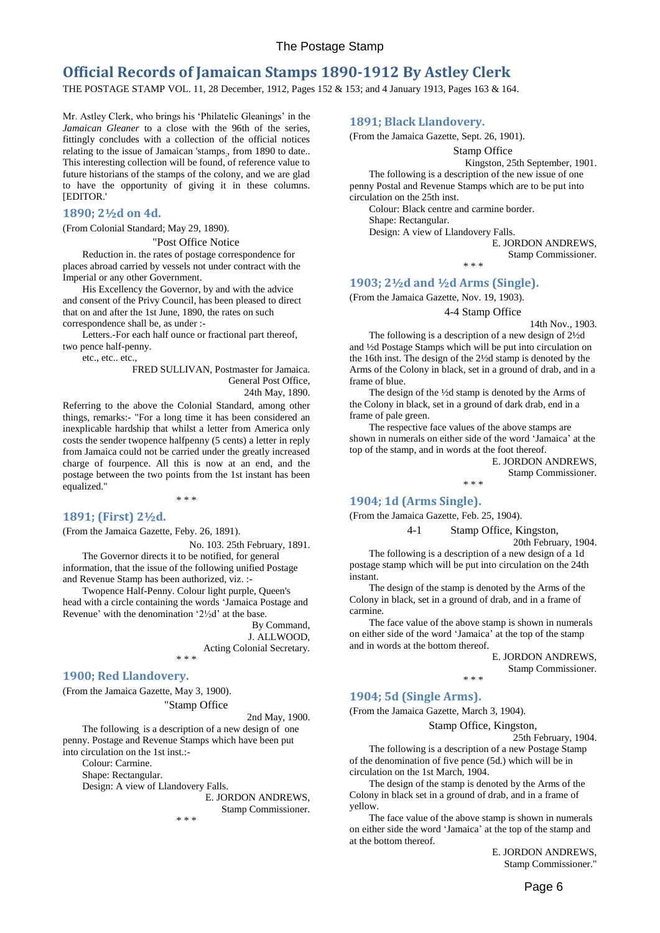# <span id="page-5-0"></span>**Official Records of Jamaican Stamps 1890-1912 By Astley Clerk**

THE POSTAGE STAMP VOL. 11, 28 December, 1912, Pages 152 & 153; and 4 January 1913, Pages 163 & 164.

Mr. Astley Clerk, who brings his 'Philatelic Gleanings' in the *Jamaican Gleaner* to a close with the 96th of the series, fittingly concludes with a collection of the official notices relating to the issue of Jamaican 'stamps; , from 1890 to date.. This interesting collection will be found, of reference value to future historians of the stamps of the colony, and we are glad to have the opportunity of giving it in these columns. [EDITOR.'

#### <span id="page-5-1"></span>**1890; 2½d on 4d.**

(From Colonial Standard; May 29, 1890).

#### "Post Office Notice

Reduction in. the rates of postage correspondence for places abroad carried by vessels not under contract with the Imperial or any other Government.

His Excellency the Governor, by and with the advice and consent of the Privy Council, has been pleased to direct that on and after the 1st June, 1890, the rates on such correspondence shall be, as under :-

Letters.-For each half ounce or fractional part thereof, two pence half-penny.

etc., etc.. etc.,

FRED SULLIVAN, Postmaster for Jamaica. General Post Office, 24th May, 1890.

Referring to the above the Colonial Standard, among other things, remarks:- "For a long time it has been considered an inexplicable hardship that whilst a letter from America only costs the sender twopence halfpenny (5 cents) a letter in reply from Jamaica could not be carried under the greatly increased charge of fourpence. All this is now at an end, and the postage between the two points from the 1st instant has been equalized."

\* \* \*

#### <span id="page-5-2"></span>**1891; (First) 2½d.**

(From the Jamaica Gazette, Feby. 26, 1891).

No. 103. 25th February, 1891.

The Governor directs it to be notified, for general information, that the issue of the following unified Postage and Revenue Stamp has been authorized, viz. :-

Twopence Half-Penny. Colour light purple, Queen's head with a circle containing the words 'Jamaica Postage and Revenue' with the denomination '2½d' at the base.

> By Command, J. ALLWOOD, Acting Colonial Secretary.

\* \* \*

### <span id="page-5-3"></span>**1900; Red Llandovery.**

(From the Jamaica Gazette, May 3, 1900). "Stamp Office

2nd May, 1900.

The following. is a description of a new design of one penny. Postage and Revenue Stamps which have been put into circulation on the 1st inst.:-

Colour: Carmine.

Shape: Rectangular.

Design: A view of Llandovery Falls.

E. JORDON ANDREWS, Stamp Commissioner.

\* \* \*

# <span id="page-5-4"></span>**1891; Black Llandovery.**

(From the Jamaica Gazette, Sept. 26, 1901).

Stamp Office

Kingston, 25th September, 1901.

The following is a description of the new issue of one penny Postal and Revenue Stamps which are to be put into circulation on the 25th inst.

\* \* \*

Colour: Black centre and carmine border.

Shape: Rectangular.

Design: A view of Llandovery Falls.

E. JORDON ANDREWS,

Stamp Commissioner.

#### <span id="page-5-5"></span>**1903; 2½d and ½d Arms (Single).**

(From the Jamaica Gazette, Nov. 19, 1903).

## 4-4 Stamp Office

14th Nov., 1903.

The following is a description of a new design of 2½d and ½d Postage Stamps which will be put into circulation on the 16th inst. The design of the 2½d stamp is denoted by the Arms of the Colony in black, set in a ground of drab, and in a frame of blue.

The design of the ½d stamp is denoted by the Arms of the Colony in black, set in a ground of dark drab, end in a frame of pale green.

The respective face values of the above stamps are shown in numerals on either side of the word 'Jamaica' at the top of the stamp, and in words at the foot thereof.

E. JORDON ANDREWS, Stamp Commissioner. \* \* \*

#### <span id="page-5-6"></span>**1904; 1d (Arms Single).**

(From the Jamaica Gazette, Feb. 25, 1904).

4-1 Stamp Office, Kingston,

20th February, 1904.

The following is a description of a new design of a 1d postage stamp which will be put into circulation on the 24th instant.

The design of the stamp is denoted by the Arms of the Colony in black, set in a ground of drab, and in a frame of carmine.

The face value of the above stamp is shown in numerals on either side of the word 'Jamaica' at the top of the stamp and in words at the bottom thereof.

\* \* \*

E. JORDON ANDREWS,

Stamp Commissioner.

#### <span id="page-5-7"></span>**1904; 5d (Single Arms).**

(From the Jamaica Gazette, March 3, 1904).

Stamp Office, Kingston,

25th February, 1904.

The following is a description of a new Postage Stamp of the denomination of five pence (5d.) which will be in circulation on the 1st March, 1904.

The design of the stamp is denoted by the Arms of the Colony in black set in a ground of drab, and in a frame of yellow.

The face value of the above stamp is shown in numerals on either side the word 'Jamaica' at the top of the stamp and at the bottom thereof.

> E. JORDON ANDREWS, Stamp Commissioner."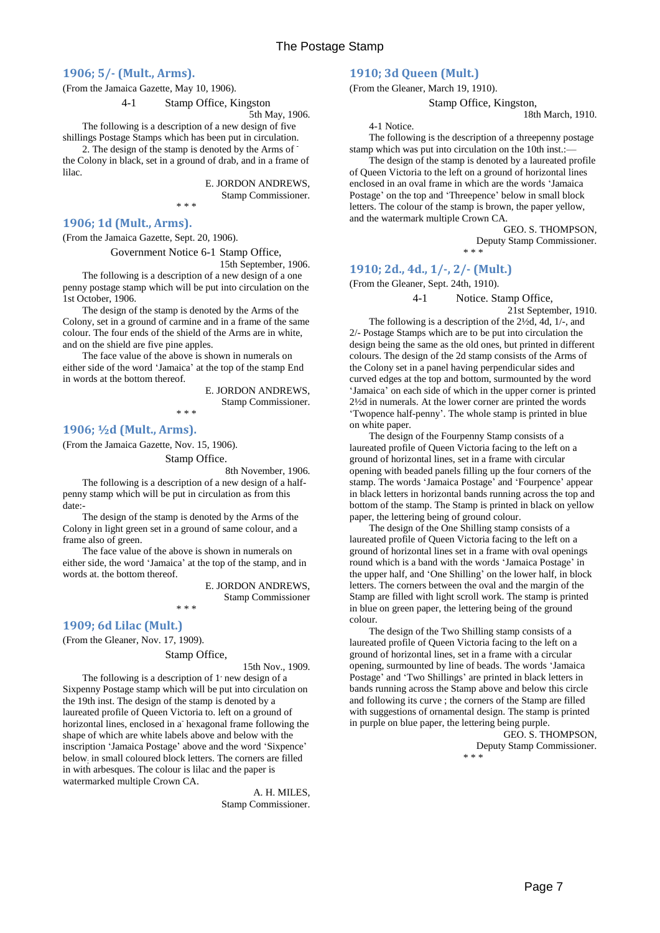### <span id="page-6-0"></span>**1906; 5/- (Mult., Arms).**

(From the Jamaica Gazette, May 10, 1906).

4-1 Stamp Office, Kingston

5th May, 1906.

The following is a description of a new design of five shillings Postage Stamps which has been put in circulation.

2. The design of the stamp is denoted by the Arms of the Colony in black, set in a ground of drab, and in a frame of lilac.

\* \* \*

E. JORDON ANDREWS, Stamp Commissioner.

<span id="page-6-1"></span>**1906; 1d (Mult., Arms).**

(From the Jamaica Gazette, Sept. 20, 1906).

Government Notice 6-1 Stamp Office,

15th September, 1906.

The following is a description of a new design of a one penny postage stamp which will be put into circulation on the 1st October, 1906.

The design of the stamp is denoted by the Arms of the Colony, set in a ground of carmine and in a frame of the same colour. The four ends of the shield of the Arms are in white, and on the shield are five pine apples.

The face value of the above is shown in numerals on either side of the word 'Jamaica' at the top of the stamp End in words at the bottom thereof.

\* \* \*

E. JORDON ANDREWS, Stamp Commissioner.

<span id="page-6-2"></span>**1906; ½d (Mult., Arms).**

(From the Jamaica Gazette, Nov. 15, 1906).

Stamp Office.

8th November, 1906.

The following is a description of a new design of a halfpenny stamp which will be put in circulation as from this date:-

The design of the stamp is denoted by the Arms of the Colony in light green set in a ground of same colour, and a frame also of green.

The face value of the above is shown in numerals on either side, the word 'Jamaica' at the top of the stamp, and in words at. the bottom thereof.

\* \* \*

E. JORDON ANDREWS, Stamp Commissioner

## <span id="page-6-3"></span>**1909; 6d Lilac (Mult.)**

(From the Gleaner, Nov. 17, 1909).

Stamp Office,

15th Nov., 1909.

The following is a description of 1' new design of a Sixpenny Postage stamp which will be put into circulation on the 19th inst. The design of the stamp is denoted by a laureated profile of Queen Victoria to. left on a ground of horizontal lines, enclosed in a hexagonal frame following the shape of which are white labels above and below with the inscription 'Jamaica Postage' above and the word 'Sixpence' below; in small coloured block letters. The corners are filled in with arbesques. The colour is lilac and the paper is watermarked multiple Crown CA.

> A. H. MILES, Stamp Commissioner.

### <span id="page-6-4"></span>**1910; 3d Queen (Mult.)**

(From the Gleaner, March 19, 1910).

Stamp Office, Kingston, 18th March, 1910.

4-1 Notice.

The following is the description of a threepenny postage stamp which was put into circulation on the 10th inst.:-

The design of the stamp is denoted by a laureated profile of Queen Victoria to the left on a ground of horizontal lines enclosed in an oval frame in which are the words 'Jamaica Postage' on the top and 'Threepence' below in small block letters. The colour of the stamp is brown, the paper yellow, and the watermark multiple Crown CA.

GEO. S. THOMPSON,

Deputy Stamp Commissioner. \* \* \*

# <span id="page-6-5"></span>**1910; 2d., 4d., 1/-, 2/- (Mult.)**

(From the Gleaner, Sept. 24th, 1910).

4-1 Notice. Stamp Office,

21st September, 1910.

The following is a description of the 2½d, 4d, 1/-, and 2/- Postage Stamps which are to be put into circulation the design being the same as the old ones, but printed in different colours. The design of the 2d stamp consists of the Arms of the Colony set in a panel having perpendicular sides and curved edges at the top and bottom, surmounted by the word 'Jamaica' on each side of which in the upper corner is printed 2½d in numerals. At the lower corner are printed the words 'Twopence half-penny'. The whole stamp is printed in blue on white paper.

The design of the Fourpenny Stamp consists of a laureated profile of Queen Victoria facing to the left on a ground of horizontal lines, set in a frame with circular opening with beaded panels filling up the four corners of the stamp. The words 'Jamaica Postage' and 'Fourpence' appear in black letters in horizontal bands running across the top and bottom of the stamp. The Stamp is printed in black on yellow paper, the lettering being of ground colour.

The design of the One Shilling stamp consists of a laureated profile of Queen Victoria facing to the left on a ground of horizontal lines set in a frame with oval openings round which is a band with the words 'Jamaica Postage' in the upper half, and 'One Shilling' on the lower half, in block letters. The corners between the oval and the margin of the Stamp are filled with light scroll work. The stamp is printed in blue on green paper, the lettering being of the ground colour.

The design of the Two Shilling stamp consists of a laureated profile of Queen Victoria facing to the left on a ground of horizontal lines, set in a frame with a circular opening, surmounted by line of beads. The words 'Jamaica Postage' and 'Two Shillings' are printed in black letters in bands running across the Stamp above and below this circle and following its curve ; the corners of the Stamp are filled with suggestions of ornamental design. The stamp is printed in purple on blue paper, the lettering being purple.

> GEO. S. THOMPSON, Deputy Stamp Commissioner. \* \* \*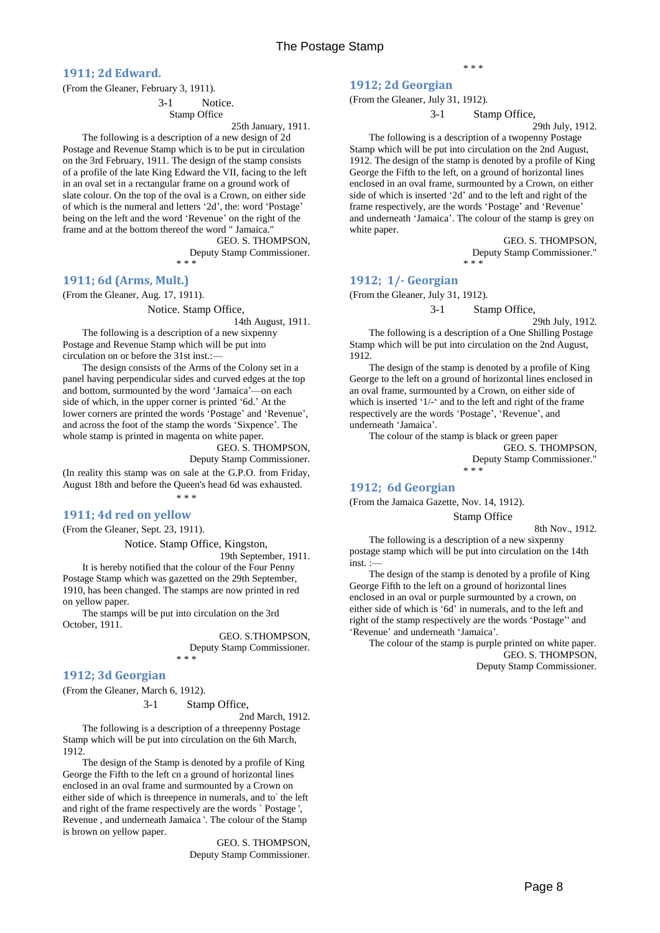<span id="page-7-0"></span>**1911; 2d Edward.**

(From the Gleaner, February 3, 1911).

3-1 Notice.

Stamp Office

25th January, 1911.

The following is a description of a new design of 2d Postage and Revenue Stamp which is to be put in circulation on the 3rd February, 1911. The design of the stamp consists of a profile of the late King Edward the VII, facing to the left in an oval set in a rectangular frame on a ground work of slate colour. On the top of the oval is a Crown, on either side of which is the numeral and letters '2d', the: word 'Postage' being on the left and the word 'Revenue' on the right of the frame and at the bottom thereof the word " Jamaica.

> GEO. S. THOMPSON, Deputy Stamp Commissioner. \* \* \*

#### <span id="page-7-1"></span>**1911; 6d (Arms, Mult.)**

(From the Gleaner, Aug. 17, 1911).

Notice. Stamp Office,

14th August, 1911.

The following is a description of a new sixpenny Postage and Revenue Stamp which will be put into circulation on or before the 31st inst.:—

The design consists of the Arms of the Colony set in a panel having perpendicular sides and curved edges at the top and bottom, surmounted by the word 'Jamaica'—on each side of which, in the upper corner is printed '6d.' At the lower corners are printed the words 'Postage' and 'Revenue', and across the foot of the stamp the words 'Sixpence'. The whole stamp is printed in magenta on white paper.

> GEO. S. THOMPSON, Deputy Stamp Commissioner.

(In reality this stamp was on sale at the G.P.O. from Friday, August 18th and before the Queen's head 6d was exhausted.

\* \* \*

#### <span id="page-7-2"></span>**1911; 4d red on yellow**

(From the Gleaner, Sept. 23, 1911).

Notice. Stamp Office, Kingston,

19th September, 1911.

It is hereby notified that the colour of the Four Penny Postage Stamp which was gazetted on the 29th September, 1910, has been changed. The stamps are now printed in red on yellow paper.

The stamps will be put into circulation on the 3rd October, 1911.

> GEO. S.THOMPSON, Deputy Stamp Commissioner. \* \* \*

# <span id="page-7-3"></span>**1912; 3d Georgian**

(From the Gleaner, March 6, 1912).

3-1 Stamp Office,

2nd March, 1912.

The following is a description of a threepenny Postage Stamp which will be put into circulation on the 6th March, 1912.

The design of the Stamp is denoted by a profile of King George the Fifth to the left cn a ground of horizontal lines enclosed in an oval frame and surmounted by a Crown on either side of which is threepence in numerals, and to the left and right of the frame respectively are the words ` Postage ', Revenue , and underneath Jamaica '. The colour of the Stamp is brown on yellow paper.

> GEO. S. THOMPSON, Deputy Stamp Commissioner.

### <span id="page-7-4"></span>**1912; 2d Georgian**

(From the Gleaner, July 31, 1912).

3-1 Stamp Office,

29th July, 1912.

The following is a description of a twopenny Postage Stamp which will be put into circulation on the 2nd August, 1912. The design of the stamp is denoted by a profile of King George the Fifth to the left, on a ground of horizontal lines enclosed in an oval frame, surmounted by a Crown, on either side of which is inserted '2d' and to the left and right of the frame respectively, are the words 'Postage' and 'Revenue' and underneath 'Jamaica'. The colour of the stamp is grey on white paper.

> GEO. S. THOMPSON, Deputy Stamp Commissioner." \* \* \*

### <span id="page-7-5"></span>**1912; 1/- Georgian**

(From the Gleaner, July 31, 1912).

3-1 Stamp Office,

29th July, 1912. The following is a description of a One Shilling Postage Stamp which will be put into circulation on the 2nd August, 1912.

The design of the stamp is denoted by a profile of King George to the left on a ground of horizontal lines enclosed in an oval frame, surmounted by a Crown, on either side of which is inserted '1/-' and to the left and right of the frame respectively are the words 'Postage', 'Revenue', and underneath 'Jamaica'.

The colour of the stamp is black or green paper

GEO. S. THOMPSON,

Deputy Stamp Commissioner." \* \* \*

#### <span id="page-7-6"></span>**1912; 6d Georgian**

(From the Jamaica Gazette, Nov. 14, 1912).

Stamp Office

8th Nov., 1912.

The following is a description of a new sixpenny postage stamp which will be put into circulation on the 14th inst. :

The design of the stamp is denoted by a profile of King George Fifth to the left on a ground of horizontal lines enclosed in an oval or purple surmounted by a crown, on either side of which is '6d' in numerals, and to the left and right of the stamp respectively are the words 'Postage'' and 'Revenue' and underneath 'Jamaica'.

The colour of the stamp is purple printed on white paper. GEO. S. THOMPSON, Deputy Stamp Commissioner.

\* \* \*